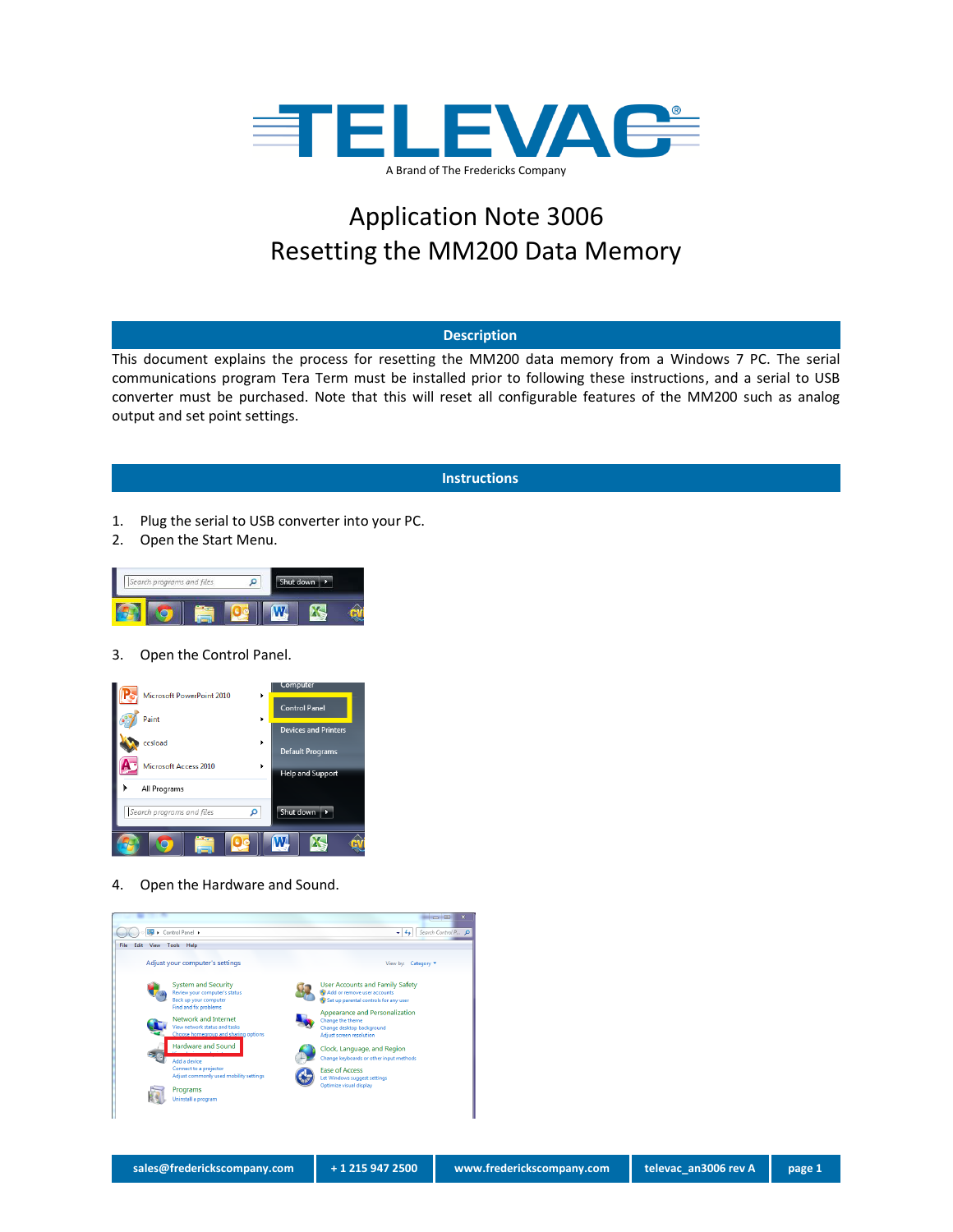

# Application Note 3006 Resetting the MM200 Data Memory

#### **Description**

This document explains the process for resetting the MM200 data memory from a Windows 7 PC. The serial communications program Tera Term must be installed prior to following these instructions, and a serial to USB converter must be purchased. Note that this will reset all configurable features of the MM200 such as analog output and set point settings.

## **Instructions**

- 1. Plug the serial to USB converter into your PC.
- 2. Open the Start Menu.



3. Open the Control Panel.



4. Open the Hardware and Sound.

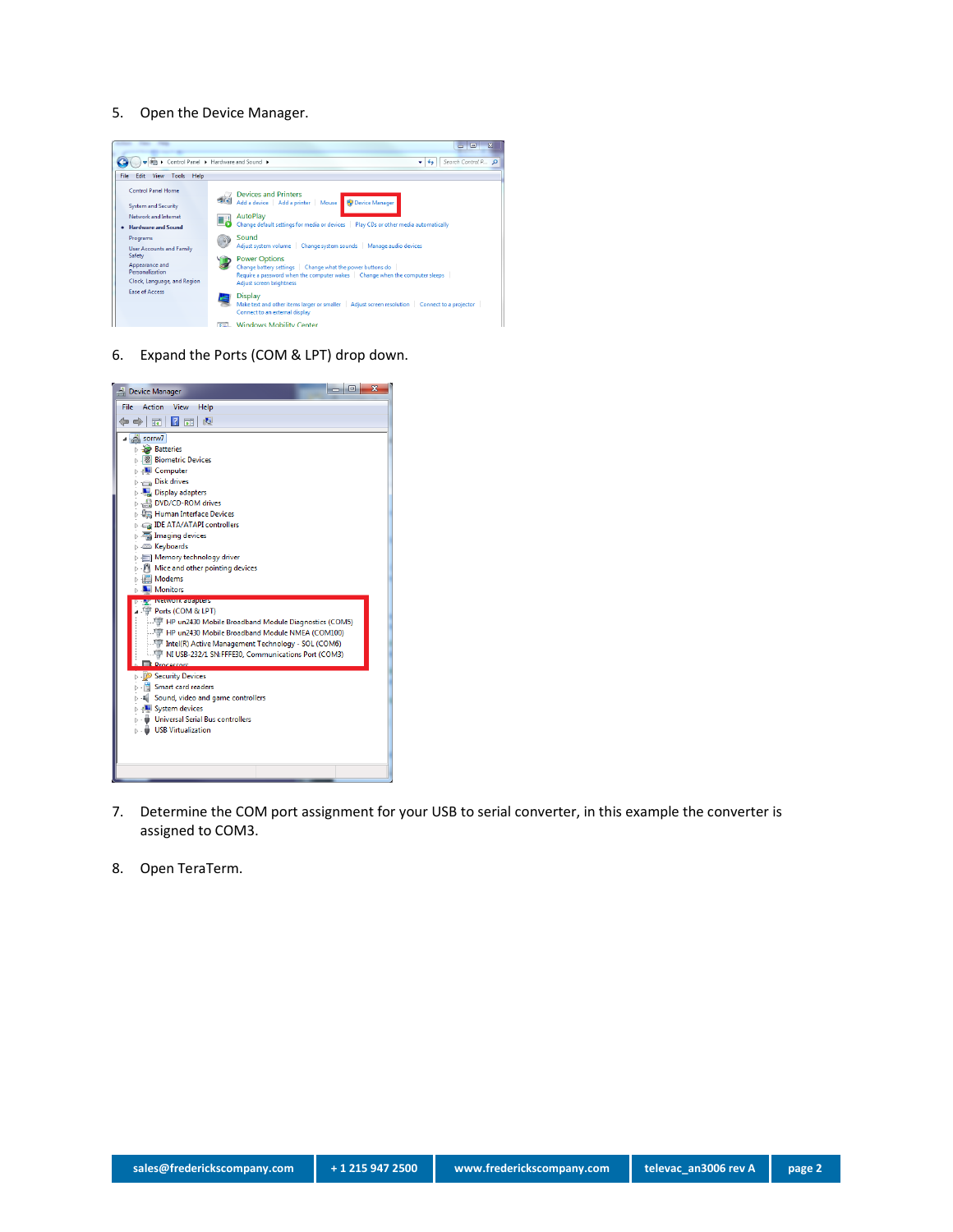#### 5. Open the Device Manager.



6. Expand the Ports (COM & LPT) drop down.



- 7. Determine the COM port assignment for your USB to serial converter, in this example the converter is assigned to COM3.
- 8. Open TeraTerm.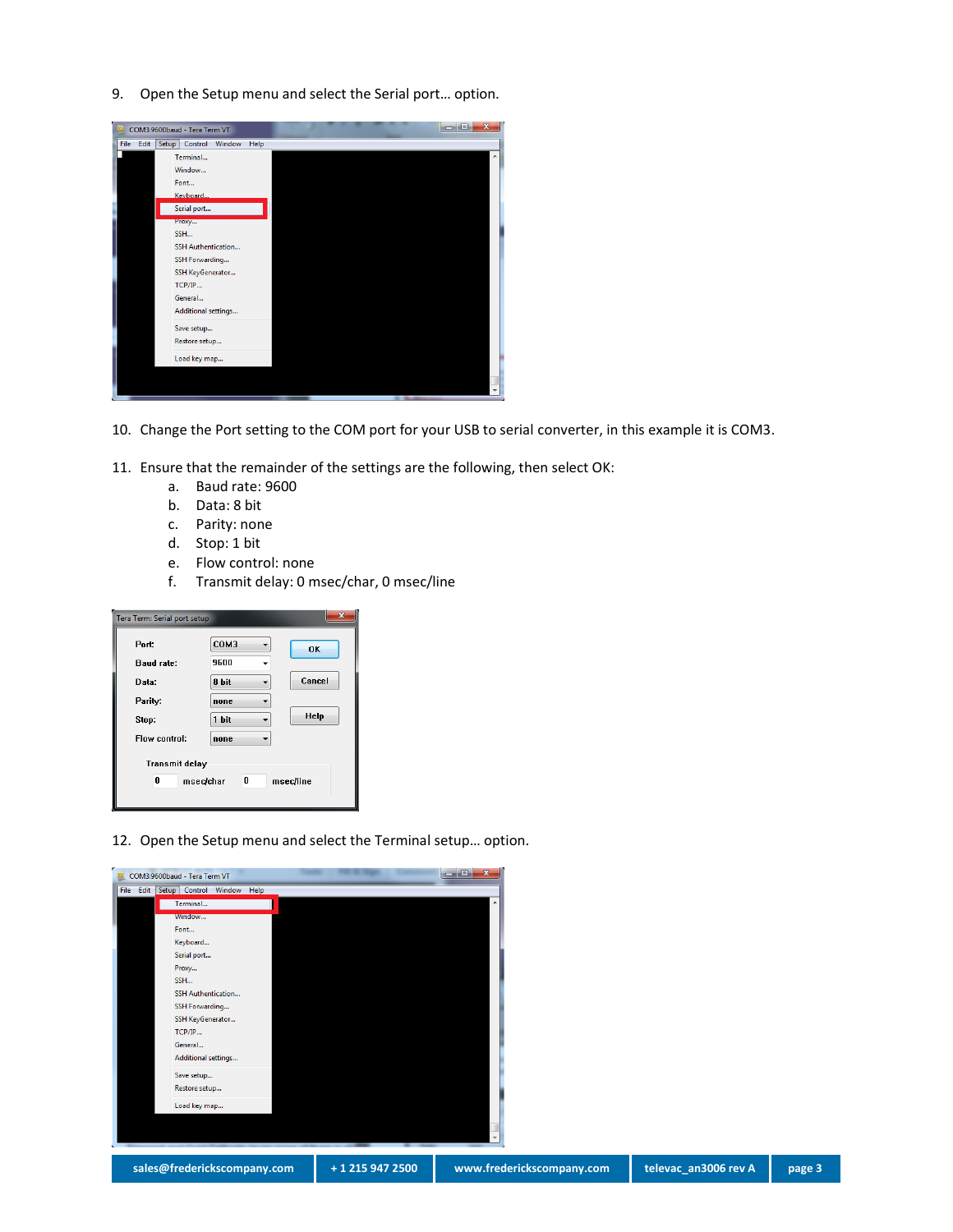9. Open the Setup menu and select the Serial port… option.

| COM3:9600baud - Tera Term VT         |      |   | $\overline{\mathbf{x}}$<br>▣ |
|--------------------------------------|------|---|------------------------------|
| File Edit<br>Setup Control<br>Window | Help |   |                              |
| Terminal                             |      |   | ▴                            |
| Window                               |      |   |                              |
| Font                                 |      |   |                              |
| Keyboard                             |      |   |                              |
| Serial port                          |      |   |                              |
| Proxy                                |      |   |                              |
| SSH                                  |      |   |                              |
| SSH Authentication                   |      |   |                              |
| SSH Forwarding                       |      |   |                              |
| SSH KeyGenerator                     |      |   |                              |
| TCP/IP                               |      |   |                              |
| General                              |      |   |                              |
| Additional settings                  |      |   |                              |
| Save setup                           |      |   |                              |
| Restore setup                        |      |   |                              |
| Load key map                         |      |   |                              |
|                                      |      |   |                              |
|                                      |      |   |                              |
|                                      |      | . |                              |

- 10. Change the Port setting to the COM port for your USB to serial converter, in this example it is COM3.
- 11. Ensure that the remainder of the settings are the following, then select OK:
	- a. Baud rate: 9600
	- b. Data: 8 bit
	- c. Parity: none
	- d. Stop: 1 bit
	- e. Flow control: none
	- f. Transmit delay: 0 msec/char, 0 msec/line

| $\overline{\mathbf{x}}$<br>Tera Term: Serial port setup   |                         |  |
|-----------------------------------------------------------|-------------------------|--|
| Port.                                                     | COM3<br>OK              |  |
| <b>Baud rate:</b><br>Data:                                | 9600<br>Cancel<br>8 bit |  |
| Parity.                                                   | none                    |  |
| Stop:                                                     | Help<br>1 bit           |  |
| Flow control:                                             | none                    |  |
| <b>Transmit delay</b><br>0<br>0<br>msec/char<br>msec/line |                         |  |

12. Open the Setup menu and select the Terminal setup… option.